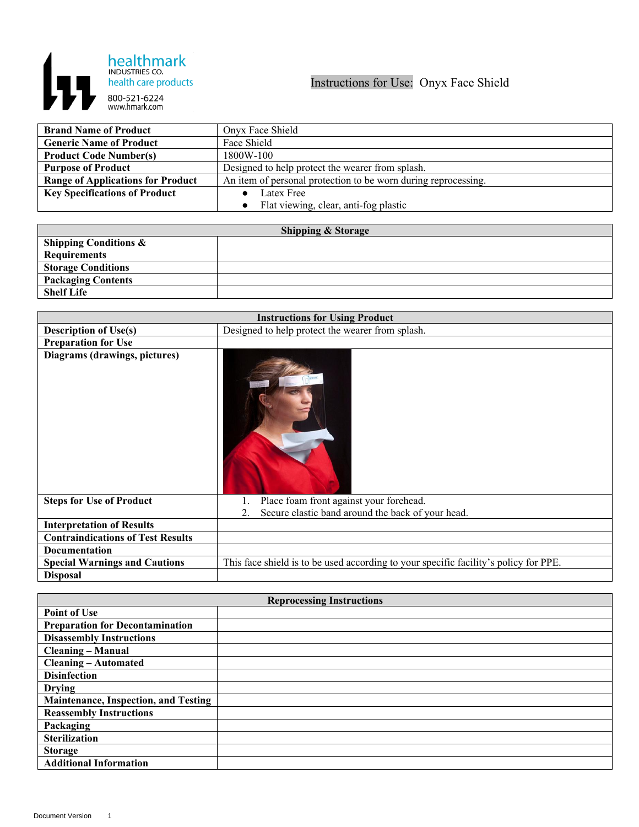

| <b>Brand Name of Product</b>             | Onyx Face Shield                                               |
|------------------------------------------|----------------------------------------------------------------|
| <b>Generic Name of Product</b>           | Face Shield                                                    |
| <b>Product Code Number(s)</b>            | 1800W-100                                                      |
| <b>Purpose of Product</b>                | Designed to help protect the wearer from splash.               |
| <b>Range of Applications for Product</b> | An item of personal protection to be worn during reprocessing. |
| <b>Key Specifications of Product</b>     | Latex Free                                                     |
|                                          | Flat viewing, clear, anti-fog plastic                          |

| <b>Shipping &amp; Storage</b>    |  |  |
|----------------------------------|--|--|
| <b>Shipping Conditions &amp;</b> |  |  |
| <b>Requirements</b>              |  |  |
| <b>Storage Conditions</b>        |  |  |
| <b>Packaging Contents</b>        |  |  |
| <b>Shelf Life</b>                |  |  |

| <b>Instructions for Using Product</b>    |                                                                                      |
|------------------------------------------|--------------------------------------------------------------------------------------|
| <b>Description of Use(s)</b>             | Designed to help protect the wearer from splash.                                     |
| <b>Preparation for Use</b>               |                                                                                      |
| Diagrams (drawings, pictures)            |                                                                                      |
| <b>Steps for Use of Product</b>          | Place foam front against your forehead.                                              |
|                                          | Secure elastic band around the back of your head.<br>2.                              |
| <b>Interpretation of Results</b>         |                                                                                      |
| <b>Contraindications of Test Results</b> |                                                                                      |
| <b>Documentation</b>                     |                                                                                      |
| <b>Special Warnings and Cautions</b>     | This face shield is to be used according to your specific facility's policy for PPE. |
| <b>Disposal</b>                          |                                                                                      |

| <b>Reprocessing Instructions</b>            |  |  |
|---------------------------------------------|--|--|
| <b>Point of Use</b>                         |  |  |
| <b>Preparation for Decontamination</b>      |  |  |
| <b>Disassembly Instructions</b>             |  |  |
| <b>Cleaning - Manual</b>                    |  |  |
| <b>Cleaning - Automated</b>                 |  |  |
| <b>Disinfection</b>                         |  |  |
| <b>Drying</b>                               |  |  |
| <b>Maintenance, Inspection, and Testing</b> |  |  |
| <b>Reassembly Instructions</b>              |  |  |
| Packaging                                   |  |  |
| <b>Sterilization</b>                        |  |  |
| <b>Storage</b>                              |  |  |
| <b>Additional Information</b>               |  |  |